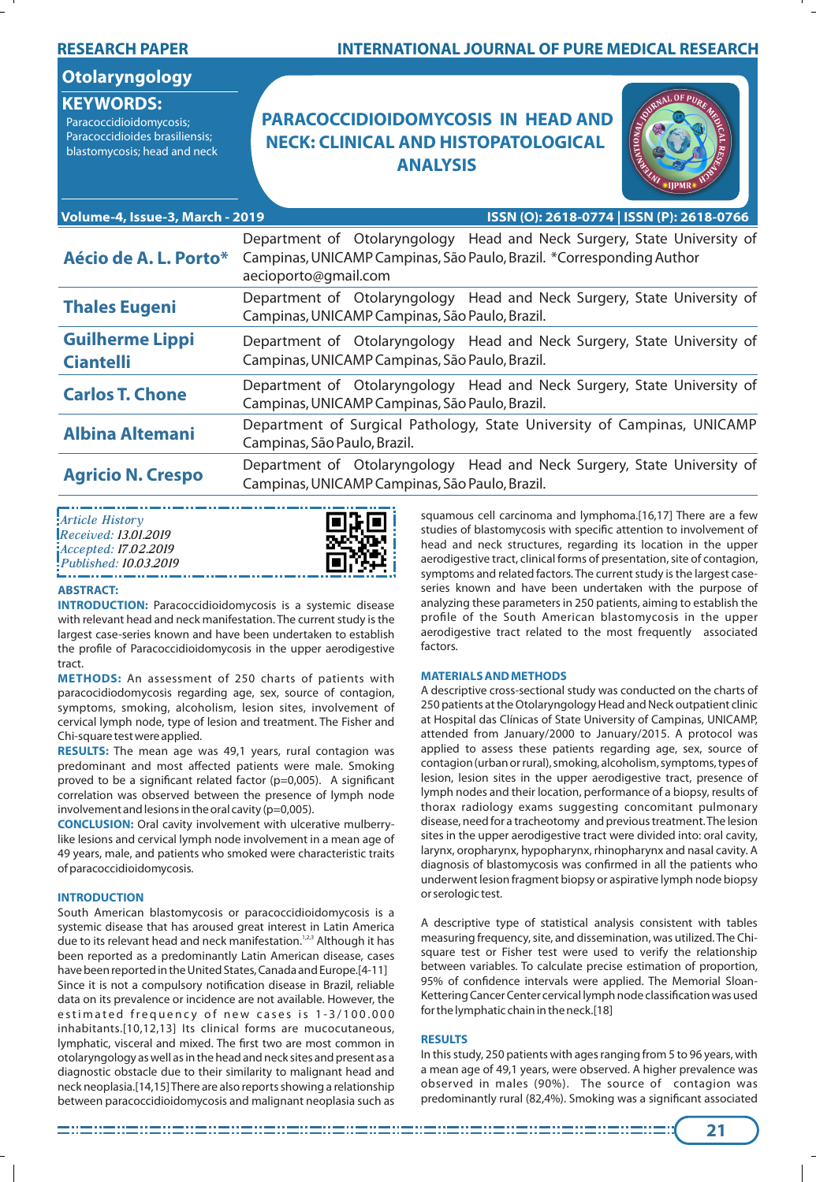## **RESEARCH PAPER**

# **Otolaryngology**

## **KEYWORDS:**

Paracoccidioidomycosis; Paracoccidioides brasiliensis; blastomycosis; head and neck

# **INTERNATIONAL JOURNAL OF PURE MEDICAL RESEARCH**

# **PARACOCCIDIOIDOMYCOSIS IN HEAD AND NECK: CLINICAL AND HISTOPATOLOGICAL ANALYSIS**



| Volume-4, Issue-3, March - 2019            |                                                                                              | ISSN (O): 2618-0774   ISSN (P): 2618-0766                               |
|--------------------------------------------|----------------------------------------------------------------------------------------------|-------------------------------------------------------------------------|
| Aécio de A. L. Porto*                      | Campinas, UNICAMP Campinas, São Paulo, Brazil. *Corresponding Author<br>aecioporto@gmail.com | Department of Otolaryngology Head and Neck Surgery, State University of |
| <b>Thales Eugeni</b>                       | Campinas, UNICAMP Campinas, São Paulo, Brazil.                                               | Department of Otolaryngology Head and Neck Surgery, State University of |
| <b>Guilherme Lippi</b><br><b>Ciantelli</b> | Campinas, UNICAMP Campinas, São Paulo, Brazil.                                               | Department of Otolaryngology Head and Neck Surgery, State University of |
| <b>Carlos T. Chone</b>                     | Campinas, UNICAMP Campinas, São Paulo, Brazil.                                               | Department of Otolaryngology Head and Neck Surgery, State University of |
| <b>Albina Altemani</b>                     | Campinas, São Paulo, Brazil.                                                                 | Department of Surgical Pathology, State University of Campinas, UNICAMP |
| <b>Agricio N. Crespo</b>                   | Campinas, UNICAMP Campinas, São Paulo, Brazil.                                               | Department of Otolaryngology Head and Neck Surgery, State University of |
|                                            |                                                                                              |                                                                         |

| ________________________<br>Article History   |
|-----------------------------------------------|
| <i>Received: 13.01.2019</i>                   |
|                                               |
| Accepted: 17.02.2019<br>Published: 10.03.2019 |



#### **ABSTRACT:**

**INTRODUCTION:** Paracoccidioidomycosis is a systemic disease with relevant head and neck manifestation. The current study is the largest case-series known and have been undertaken to establish the profile of Paracoccidioidomycosis in the upper aerodigestive tract.

**METHODS:** An assessment of 250 charts of patients with paracocidiodomycosis regarding age, sex, source of contagion, symptoms, smoking, alcoholism, lesion sites, involvement of cervical lymph node, type of lesion and treatment. The Fisher and Chi-square test were applied.

**RESULTS:** The mean age was 49,1 years, rural contagion was predominant and most affected patients were male. Smoking proved to be a significant related factor ( $p=0,005$ ). A significant correlation was observed between the presence of lymph node involvement and lesions in the oral cavity (p=0,005).

**CONCLUSION:** Oral cavity involvement with ulcerative mulberrylike lesions and cervical lymph node involvement in a mean age of 49 years, male, and patients who smoked were characteristic traits of paracoccidioidomycosis.

### **INTRODUCTION**

South American blastomycosis or paracoccidioidomycosis is a systemic disease that has aroused great interest in Latin America due to its relevant head and neck manifestation.<sup>1,2,3</sup> Although it has been reported as a predominantly Latin American disease, cases have been reported in the United States, Canada and Europe.[4-11] Since it is not a compulsory notification disease in Brazil, reliable data on its prevalence or incidence are not available. However, the estimated frequency of new cases is 1-3/100.000 inhabitants.[10,12,13] Its clinical forms are mucocutaneous, lymphatic, visceral and mixed. The first two are most common in otolaryngology as well as in the head and neck sites and present as a diagnostic obstacle due to their similarity to malignant head and neck neoplasia.[14,15] There are also reports showing a relationship between paracoccidioidomycosis and malignant neoplasia such as

squamous cell carcinoma and lymphoma.[16,17] There are a few studies of blastomycosis with specific attention to involvement of head and neck structures, regarding its location in the upper aerodigestive tract, clinical forms of presentation, site of contagion, symptoms and related factors. The current study is the largest caseseries known and have been undertaken with the purpose of analyzing these parameters in 250 patients, aiming to establish the profile of the South American blastomycosis in the upper aerodigestive tract related to the most frequently associated factors.

## **MATERIALS AND METHODS**

A descriptive cross-sectional study was conducted on the charts of 250 patients at the Otolaryngology Head and Neck outpatient clinic at Hospital das Clínicas of State University of Campinas, UNICAMP, attended from January/2000 to January/2015. A protocol was applied to assess these patients regarding age, sex, source of contagion (urban or rural), smoking, alcoholism, symptoms, types of lesion, lesion sites in the upper aerodigestive tract, presence of lymph nodes and their location, performance of a biopsy, results of thorax radiology exams suggesting concomitant pulmonary disease, need for a tracheotomy and previous treatment. The lesion sites in the upper aerodigestive tract were divided into: oral cavity, larynx, oropharynx, hypopharynx, rhinopharynx and nasal cavity. A diagnosis of blastomycosis was confirmed in all the patients who underwent lesion fragment biopsy or aspirative lymph node biopsy or serologic test.

A descriptive type of statistical analysis consistent with tables measuring frequency, site, and dissemination, was utilized. The Chisquare test or Fisher test were used to verify the relationship between variables. To calculate precise estimation of proportion, 95% of confidence intervals were applied. The Memorial Sloan-Kettering Cancer Center cervical lymph node classification was used for the lymphatic chain in the neck.[18]

### **RESULTS**

In this study, 250 patients with ages ranging from 5 to 96 years, with a mean age of 49,1 years, were observed. A higher prevalence was observed in males (90%). The source of contagion was predominantly rural (82,4%). Smoking was a significant associated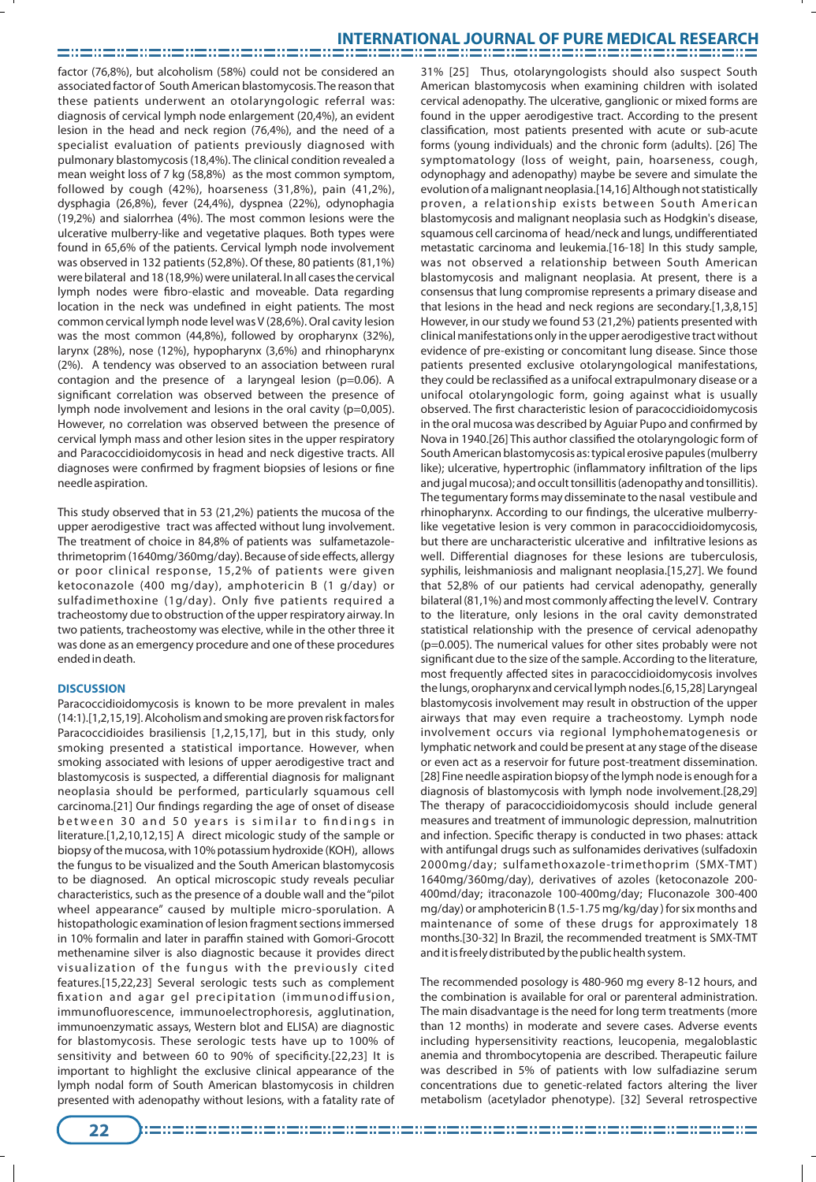# **INTERNATIONAL JOURNAL OF PURE MEDICAL RESEARCH**

factor (76,8%), but alcoholism (58%) could not be considered an associated factor of South American blastomycosis. The reason that these patients underwent an otolaryngologic referral was: diagnosis of cervical lymph node enlargement (20,4%), an evident lesion in the head and neck region (76,4%), and the need of a specialist evaluation of patients previously diagnosed with pulmonary blastomycosis (18,4%). The clinical condition revealed a mean weight loss of 7 kg (58,8%) as the most common symptom, followed by cough (42%), hoarseness (31,8%), pain (41,2%), dysphagia (26,8%), fever (24,4%), dyspnea (22%), odynophagia (19,2%) and sialorrhea (4%). The most common lesions were the ulcerative mulberry-like and vegetative plaques. Both types were found in 65,6% of the patients. Cervical lymph node involvement was observed in 132 patients (52,8%). Of these, 80 patients (81,1%) were bilateral and 18 (18,9%) were unilateral. In all cases the cervical lymph nodes were fibro-elastic and moveable. Data regarding location in the neck was undefined in eight patients. The most common cervical lymph node level was V (28,6%). Oral cavity lesion was the most common (44,8%), followed by oropharynx (32%), larynx (28%), nose (12%), hypopharynx (3,6%) and rhinopharynx (2%). A tendency was observed to an association between rural contagion and the presence of a laryngeal lesion (p=0.06). A significant correlation was observed between the presence of lymph node involvement and lesions in the oral cavity (p=0,005). However, no correlation was observed between the presence of cervical lymph mass and other lesion sites in the upper respiratory and Paracoccidioidomycosis in head and neck digestive tracts. All diagnoses were confirmed by fragment biopsies of lesions or fine needle aspiration.

This study observed that in 53 (21,2%) patients the mucosa of the upper aerodigestive tract was affected without lung involvement. The treatment of choice in 84,8% of patients was sulfametazolethrimetoprim (1640mg/360mg/day). Because of side effects, allergy or poor clinical response, 15,2% of patients were given ketoconazole (400 mg/day), amphotericin B (1 g/day) or sulfadimethoxine (1g/day). Only five patients required a tracheostomy due to obstruction of the upper respiratory airway. In two patients, tracheostomy was elective, while in the other three it was done as an emergency procedure and one of these procedures ended in death.

### **DISCUSSION**

Paracoccidioidomycosis is known to be more prevalent in males (14:1).[1,2,15,19]. Alcoholism and smoking are proven risk factors for Paracoccidioides brasiliensis [1,2,15,17], but in this study, only smoking presented a statistical importance. However, when smoking associated with lesions of upper aerodigestive tract and blastomycosis is suspected, a differential diagnosis for malignant neoplasia should be performed, particularly squamous cell carcinoma.[21] Our findings regarding the age of onset of disease between 30 and 50 years is similar to findings in literature.[1,2,10,12,15] A direct micologic study of the sample or biopsy of the mucosa, with 10% potassium hydroxide (KOH), allows the fungus to be visualized and the South American blastomycosis to be diagnosed. An optical microscopic study reveals peculiar characteristics, such as the presence of a double wall and the "pilot wheel appearance" caused by multiple micro-sporulation. A histopathologic examination of lesion fragment sections immersed in 10% formalin and later in paraffin stained with Gomori-Grocott methenamine silver is also diagnostic because it provides direct visualization of the fungus with the previously cited features.[15,22,23] Several serologic tests such as complement xation and agar gel precipitation (immunodiffusion, immunofluorescence, immunoelectrophoresis, agglutination, immunoenzymatic assays, Western blot and ELISA) are diagnostic for blastomycosis. These serologic tests have up to 100% of sensitivity and between 60 to 90% of specificity.[22,23] It is important to highlight the exclusive clinical appearance of the lymph nodal form of South American blastomycosis in children presented with adenopathy without lesions, with a fatality rate of 31% [25] Thus, otolaryngologists should also suspect South American blastomycosis when examining children with isolated cervical adenopathy. The ulcerative, ganglionic or mixed forms are found in the upper aerodigestive tract. According to the present classification, most patients presented with acute or sub-acute forms (young individuals) and the chronic form (adults). [26] The symptomatology (loss of weight, pain, hoarseness, cough, odynophagy and adenopathy) maybe be severe and simulate the evolution of a malignant neoplasia.[14,16] Although not statistically proven, a relationship exists between South American blastomycosis and malignant neoplasia such as Hodgkin's disease, squamous cell carcinoma of head/neck and lungs, undifferentiated metastatic carcinoma and leukemia.[16-18] In this study sample, was not observed a relationship between South American blastomycosis and malignant neoplasia. At present, there is a consensus that lung compromise represents a primary disease and that lesions in the head and neck regions are secondary.[1,3,8,15] However, in our study we found 53 (21,2%) patients presented with clinical manifestations only in the upper aerodigestive tract without evidence of pre-existing or concomitant lung disease. Since those patients presented exclusive otolaryngological manifestations, they could be reclassified as a unifocal extrapulmonary disease or a unifocal otolaryngologic form, going against what is usually observed. The first characteristic lesion of paracoccidioidomycosis in the oral mucosa was described by Aguiar Pupo and confirmed by Nova in 1940.[26] This author classified the otolaryngologic form of South American blastomycosis as: typical erosive papules (mulberry like); ulcerative, hypertrophic (inflammatory infiltration of the lips and jugal mucosa); and occult tonsillitis (adenopathy and tonsillitis). The tegumentary forms may disseminate to the nasal vestibule and rhinopharynx. According to our findings, the ulcerative mulberrylike vegetative lesion is very common in paracoccidioidomycosis, but there are uncharacteristic ulcerative and infiltrative lesions as well. Differential diagnoses for these lesions are tuberculosis, syphilis, leishmaniosis and malignant neoplasia.[15,27]. We found that 52,8% of our patients had cervical adenopathy, generally bilateral (81,1%) and most commonly affecting the level V. Contrary to the literature, only lesions in the oral cavity demonstrated statistical relationship with the presence of cervical adenopathy (p=0.005). The numerical values for other sites probably were not significant due to the size of the sample. According to the literature, most frequently affected sites in paracoccidioidomycosis involves the lungs, oropharynx and cervical lymph nodes.[6,15,28] Laryngeal blastomycosis involvement may result in obstruction of the upper airways that may even require a tracheostomy. Lymph node involvement occurs via regional lymphohematogenesis or lymphatic network and could be present at any stage of the disease or even act as a reservoir for future post-treatment dissemination. [28] Fine needle aspiration biopsy of the lymph node is enough for a diagnosis of blastomycosis with lymph node involvement.[28,29] The therapy of paracoccidioidomycosis should include general measures and treatment of immunologic depression, malnutrition and infection. Specific therapy is conducted in two phases: attack with antifungal drugs such as sulfonamides derivatives (sulfadoxin 2000mg/day; sulfamethoxazole-trimethoprim (SMX-TMT ) 1640mg/360mg/day), derivatives of azoles (ketoconazole 200- 400md/day; itraconazole 100-400mg/day; Fluconazole 300-400 mg/day) or amphotericin B (1.5-1.75 mg/kg/day ) for six months and maintenance of some of these drugs for approximately 18 months.[30-32] In Brazil, the recommended treatment is SMX-TMT and it is freely distributed by the public health system.

The recommended posology is 480-960 mg every 8-12 hours, and the combination is available for oral or parenteral administration. The main disadvantage is the need for long term treatments (more than 12 months) in moderate and severe cases. Adverse events including hypersensitivity reactions, leucopenia, megaloblastic anemia and thrombocytopenia are described. Therapeutic failure was described in 5% of patients with low sulfadiazine serum concentrations due to genetic-related factors altering the liver metabolism (acetylador phenotype). [32] Several retrospective